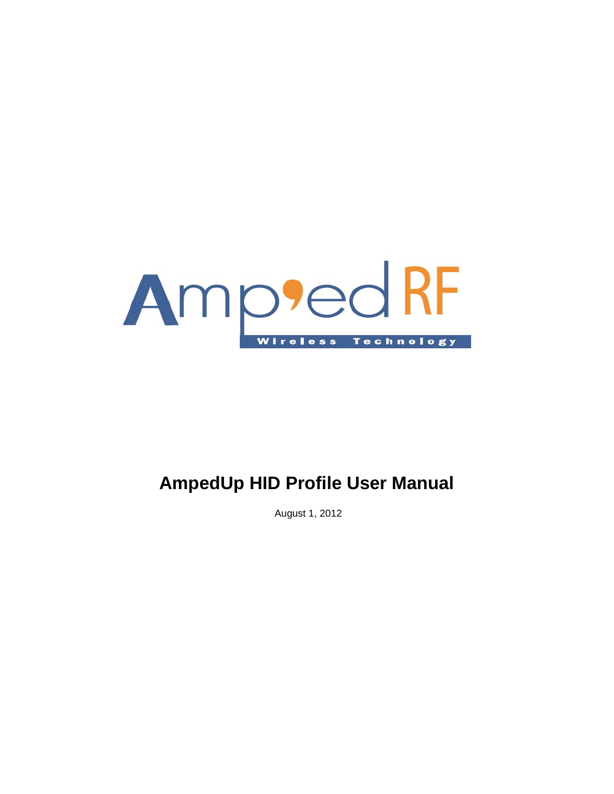

## **AmpedUp HID Profile User Manual**

August 1, 2012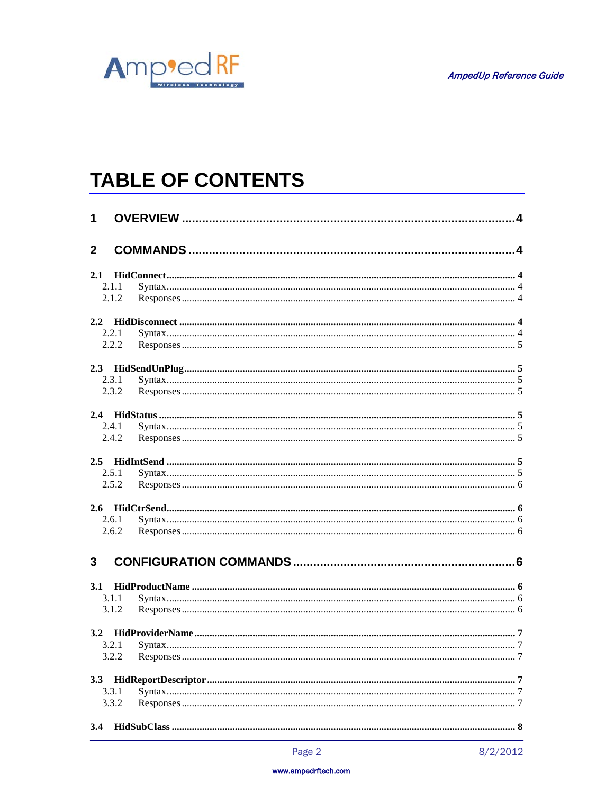

# **TABLE OF CONTENTS**

| 1            |       |  |  |  |  |
|--------------|-------|--|--|--|--|
| $\mathbf{2}$ |       |  |  |  |  |
|              | 2.1   |  |  |  |  |
|              | 2.1.1 |  |  |  |  |
|              | 2.1.2 |  |  |  |  |
| 2.2          |       |  |  |  |  |
|              | 2.2.1 |  |  |  |  |
|              | 2.2.2 |  |  |  |  |
|              |       |  |  |  |  |
|              | 2.3.1 |  |  |  |  |
|              | 2.3.2 |  |  |  |  |
|              |       |  |  |  |  |
|              | 2.4.1 |  |  |  |  |
|              | 2.4.2 |  |  |  |  |
|              |       |  |  |  |  |
|              | 2.5.1 |  |  |  |  |
|              | 2.5.2 |  |  |  |  |
|              |       |  |  |  |  |
|              | 2.6.1 |  |  |  |  |
|              | 2.6.2 |  |  |  |  |
| $\mathbf{3}$ |       |  |  |  |  |
| 3.1          |       |  |  |  |  |
|              | 3.1.1 |  |  |  |  |
|              | 3.1.2 |  |  |  |  |
|              |       |  |  |  |  |
|              | 3.2.1 |  |  |  |  |
|              | 3.2.2 |  |  |  |  |
| 3.3          |       |  |  |  |  |
|              | 3.3.1 |  |  |  |  |
|              | 3.3.2 |  |  |  |  |
| 3.4          |       |  |  |  |  |

#### www.ampedrftech.com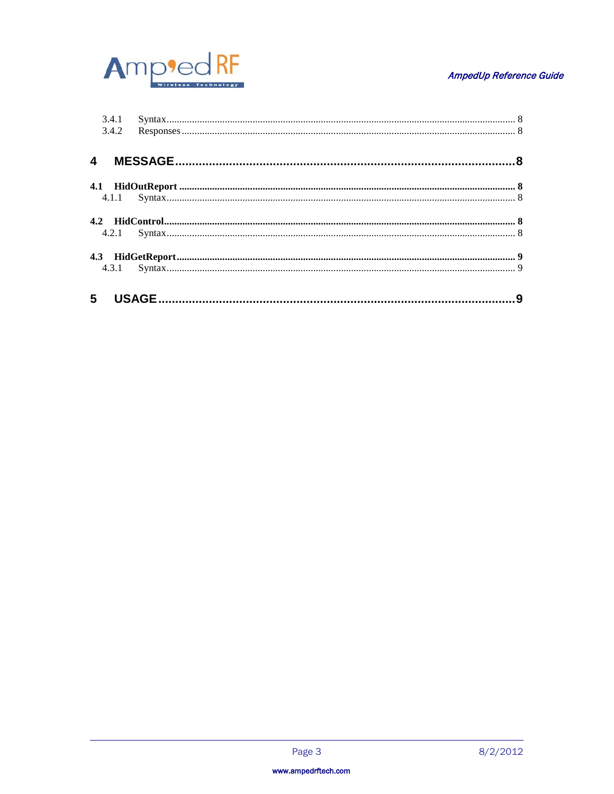

### AmpedUp Reference Guide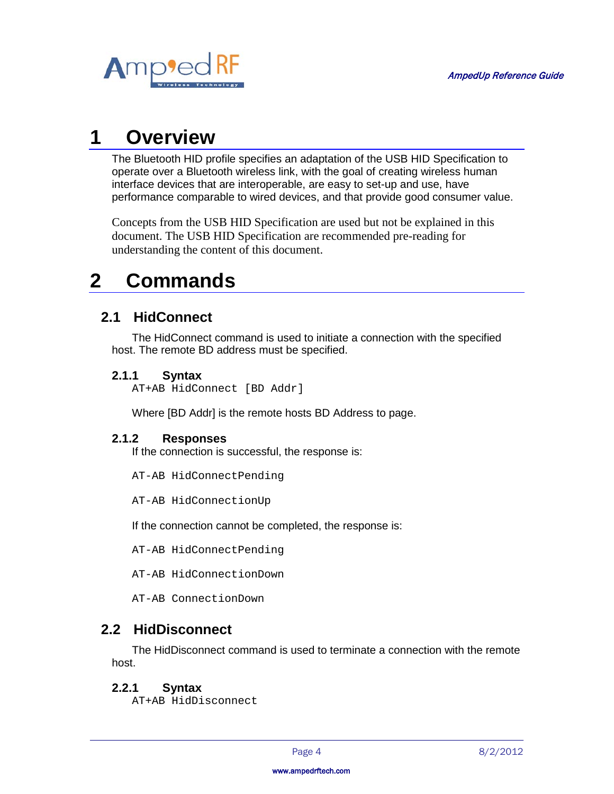

## <span id="page-3-0"></span>**1 Overview**

The Bluetooth HID profile specifies an adaptation of the USB HID Specification to operate over a Bluetooth wireless link, with the goal of creating wireless human interface devices that are interoperable, are easy to set-up and use, have performance comparable to wired devices, and that provide good consumer value.

Concepts from the USB HID Specification are used but not be explained in this document. The USB HID Specification are recommended pre-reading for understanding the content of this document.

## <span id="page-3-1"></span>**2 Commands**

## <span id="page-3-2"></span>**2.1 HidConnect**

The HidConnect command is used to initiate a connection with the specified host. The remote BD address must be specified.

## <span id="page-3-3"></span>**2.1.1 Syntax**

AT+AB HidConnect [BD Addr]

Where [BD Addr] is the remote hosts BD Address to page.

## <span id="page-3-4"></span>**2.1.2 Responses**

If the connection is successful, the response is:

AT-AB HidConnectPending

AT-AB HidConnectionUp

If the connection cannot be completed, the response is:

AT-AB HidConnectPending

AT-AB HidConnectionDown

AT-AB ConnectionDown

## <span id="page-3-5"></span>**2.2 HidDisconnect**

The HidDisconnect command is used to terminate a connection with the remote host.

## <span id="page-3-6"></span>**2.2.1 Syntax**

AT+AB HidDisconnect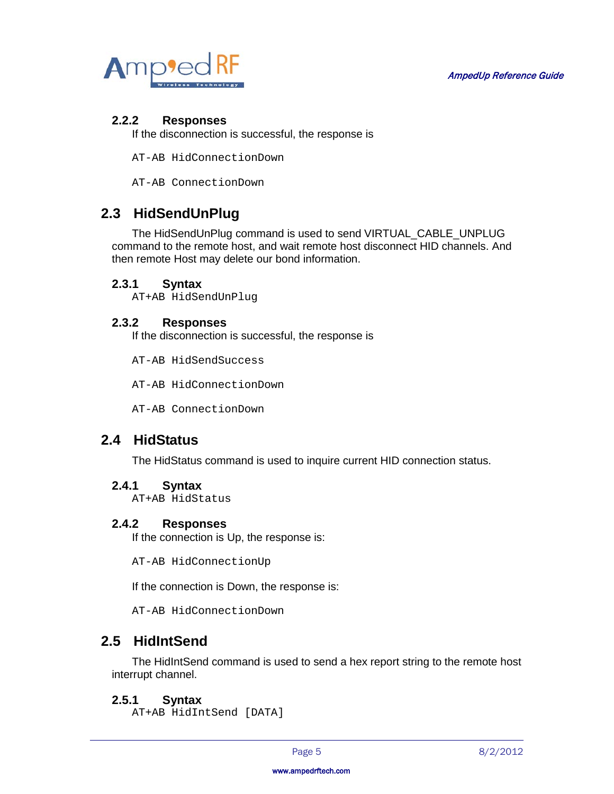

### <span id="page-4-0"></span>**2.2.2 Responses**

If the disconnection is successful, the response is

AT-AB HidConnectionDown

AT-AB ConnectionDown

## <span id="page-4-1"></span>**2.3 HidSendUnPlug**

The HidSendUnPlug command is used to send VIRTUAL\_CABLE\_UNPLUG command to the remote host, and wait remote host disconnect HID channels. And then remote Host may delete our bond information.

### <span id="page-4-2"></span>**2.3.1 Syntax**

AT+AB HidSendUnPlug

### <span id="page-4-3"></span>**2.3.2 Responses**

If the disconnection is successful, the response is

AT-AB HidSendSuccess

AT-AB HidConnectionDown

AT-AB ConnectionDown

## <span id="page-4-4"></span>**2.4 HidStatus**

The HidStatus command is used to inquire current HID connection status.

### <span id="page-4-5"></span>**2.4.1 Syntax**

AT+AB HidStatus

#### <span id="page-4-6"></span>**2.4.2 Responses**

If the connection is Up, the response is:

AT-AB HidConnectionUp

If the connection is Down, the response is:

AT-AB HidConnectionDown

## <span id="page-4-7"></span>**2.5 HidIntSend**

The HidIntSend command is used to send a hex report string to the remote host interrupt channel.

### <span id="page-4-8"></span>**2.5.1 Syntax**

AT+AB HidIntSend [DATA]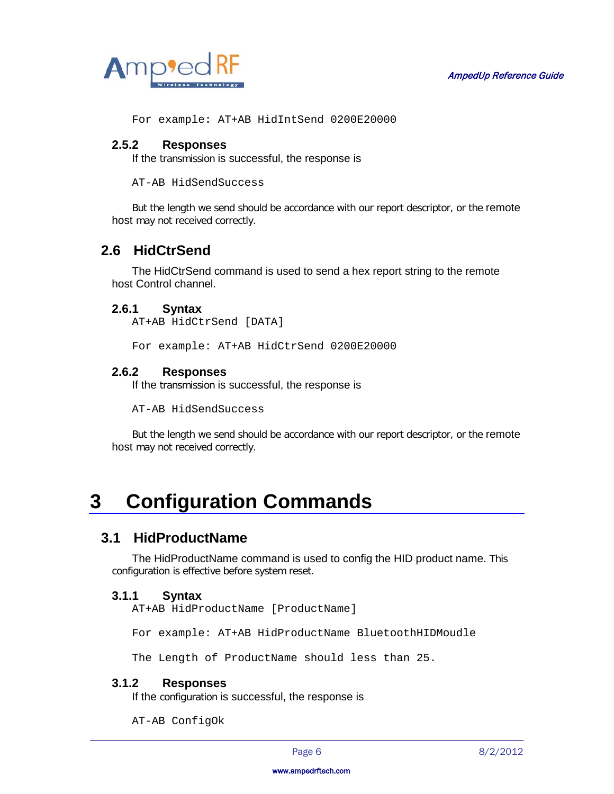

For example: AT+AB HidIntSend 0200E20000

### <span id="page-5-0"></span>**2.5.2 Responses**

If the transmission is successful, the response is

AT-AB HidSendSuccess

But the length we send should be accordance with our report descriptor, or the remote host may not received correctly.

## <span id="page-5-1"></span>**2.6 HidCtrSend**

The HidCtrSend command is used to send a hex report string to the remote host Control channel.

### <span id="page-5-2"></span>**2.6.1 Syntax**

AT+AB HidCtrSend [DATA]

For example: AT+AB HidCtrSend 0200E20000

### <span id="page-5-3"></span>**2.6.2 Responses**

If the transmission is successful, the response is

AT-AB HidSendSuccess

But the length we send should be accordance with our report descriptor, or the remote host may not received correctly.

## <span id="page-5-4"></span>**3 Configuration Commands**

## <span id="page-5-5"></span>**3.1 HidProductName**

The HidProductName command is used to config the HID product name. This configuration is effective before system reset.

### <span id="page-5-6"></span>**3.1.1 Syntax**

AT+AB HidProductName [ProductName]

For example: AT+AB HidProductName BluetoothHIDMoudle

The Length of ProductName should less than 25.

### <span id="page-5-7"></span>**3.1.2 Responses**

If the configuration is successful, the response is

AT-AB ConfigOk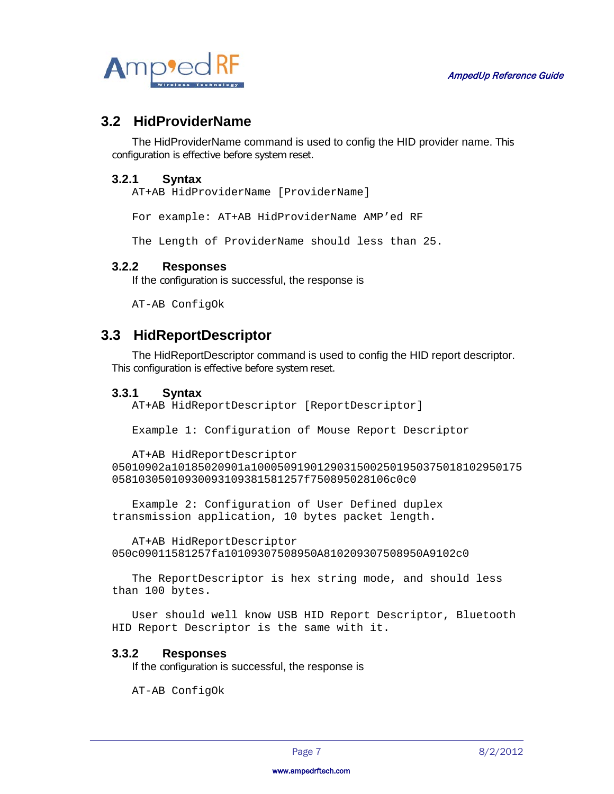

## <span id="page-6-0"></span>**3.2 HidProviderName**

The HidProviderName command is used to config the HID provider name. This configuration is effective before system reset.

### <span id="page-6-1"></span>**3.2.1 Syntax**

AT+AB HidProviderName [ProviderName]

For example: AT+AB HidProviderName AMP'ed RF

The Length of ProviderName should less than 25.

### <span id="page-6-2"></span>**3.2.2 Responses**

If the configuration is successful, the response is

AT-AB ConfigOk

## <span id="page-6-3"></span>**3.3 HidReportDescriptor**

The HidReportDescriptor command is used to config the HID report descriptor. This configuration is effective before system reset.

### <span id="page-6-4"></span>**3.3.1 Syntax**

AT+AB HidReportDescriptor [ReportDescriptor]

Example 1: Configuration of Mouse Report Descriptor

```
AT+AB HidReportDescriptor
05010902a10185020901a10005091901290315002501950375018102950175
05810305010930093109381581257f750895028106c0c0
```

```
Example 2: Configuration of User Defined duplex
transmission application, 10 bytes packet length.
```
AT+AB HidReportDescriptor 050c09011581257fa10109307508950A810209307508950A9102c0

The ReportDescriptor is hex string mode, and should less than 100 bytes.

User should well know USB HID Report Descriptor, Bluetooth HID Report Descriptor is the same with it.

#### <span id="page-6-5"></span>**3.3.2 Responses**

If the configuration is successful, the response is

AT-AB ConfigOk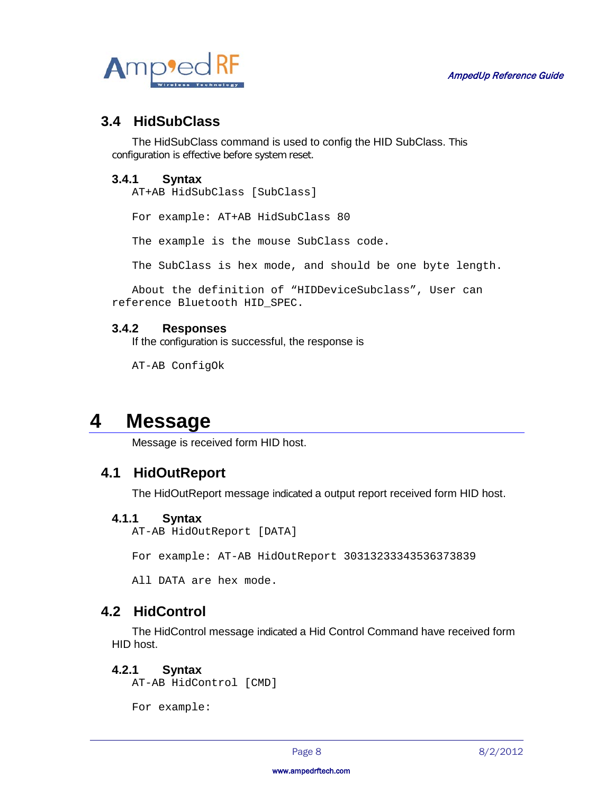

## <span id="page-7-0"></span>**3.4 HidSubClass**

The HidSubClass command is used to config the HID SubClass. This configuration is effective before system reset.

### <span id="page-7-1"></span>**3.4.1 Syntax**

AT+AB HidSubClass [SubClass]

For example: AT+AB HidSubClass 80

The example is the mouse SubClass code.

The SubClass is hex mode, and should be one byte length.

```
About the definition of "HIDDeviceSubclass", User can 
reference Bluetooth HID_SPEC.
```
### <span id="page-7-2"></span>**3.4.2 Responses**

If the configuration is successful, the response is

AT-AB ConfigOk

## <span id="page-7-3"></span>**4 Message**

Message is received form HID host.

## <span id="page-7-4"></span>**4.1 HidOutReport**

The HidOutReport message indicated a output report received form HID host.

### <span id="page-7-5"></span>**4.1.1 Syntax**

AT-AB HidOutReport [DATA]

For example: AT-AB HidOutReport 30313233343536373839

All DATA are hex mode.

## <span id="page-7-6"></span>**4.2 HidControl**

The HidControl message indicated a Hid Control Command have received form HID host.

### <span id="page-7-7"></span>**4.2.1 Syntax**

AT-AB HidControl [CMD]

For example: